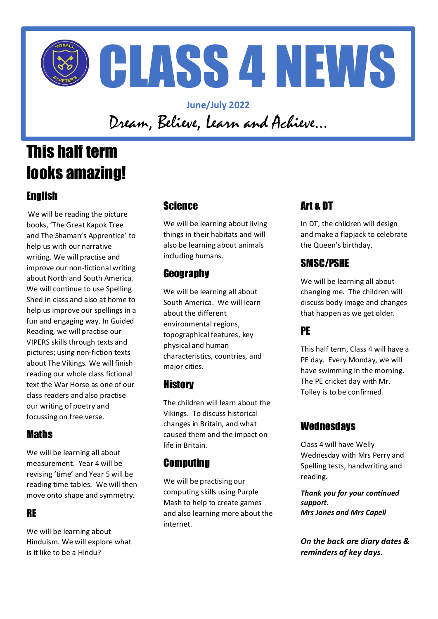

**June/July 2022** Dream, Believe, Learn and Achieve…

# This half term looks amazing!

## English

We will be reading the picture books, 'The Great Kapok Tree and The Shaman's Apprentice' to help us with our narrative writing. We will practise and improve our non-fictional writing about North and South America. We will continue to use Spelling Shed in class and also at home to help us improve our spellings in a fun and engaging way. In Guided Reading, we will practise our VIPERS skills through texts and pictures; using non-fiction texts about The Vikings. We will finish reading our whole class fictional text the War Horse as one of our class readers and also practise our writing of poetry and focussing on free verse.

### **Maths**

We will be learning all about measurement. Year 4 will be revising 'time' and Year 5 will be reading time tables. We will then move onto shape and symmetry.

#### RE

We will be learning about Hinduism. We will explore what is it like to be a Hindu?

#### Science

We will be learning about living things in their habitats and will also be learning about animals including humans.

### **Geography**

We will be learning all about South America. We will learn about the different environmental regions, topographical features, key physical and human characteristics, countries, and major cities.

#### **History**

The children will learn about the Vikings. To discuss historical changes in Britain, and what caused them and the impact on life in Britain.

#### **Computing**

We will be practising our computing skills using Purple Mash to help to create games and also learning more about the internet.

# Art & DT

In DT, the children will design and make a flapjack to celebrate the Queen's birthday.

### SMSC/PSHE

We will be learning all about changing me. The children will discuss body image and changes that happen as we get older.

### PE

This half term, Class 4 will have a PE day. Every Monday, we will have swimming in the morning. The PE cricket day with Mr. Tolley is to be confirmed.

### **Wednesdays**

Class 4 will have Welly Wednesday with Mrs Perry and Spelling tests, handwriting and reading.

*Thank you for your continued support. Mrs Jones and Mrs Capell*

*On the back are diary dates & reminders of key days.*